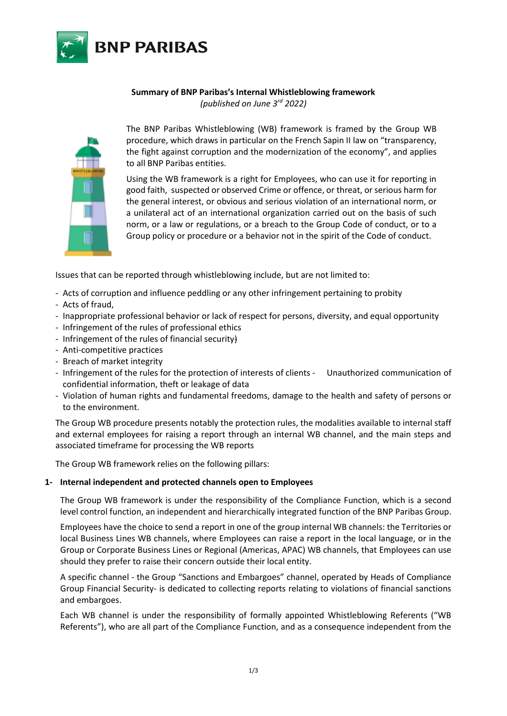

# **Summary of BNP Paribas's Internal Whistleblowing framework**

*(published on June 3rd 2022)*



The BNP Paribas Whistleblowing (WB) framework is framed by the Group WB procedure, which draws in particular on the French Sapin II law on "transparency, the fight against corruption and the modernization of the economy", and applies to all BNP Paribas entities.

Using the WB framework is a right for Employees, who can use it for reporting in good faith, suspected or observed Crime or offence, or threat, or serious harm for the general interest, or obvious and serious violation of an international norm, or a unilateral act of an international organization carried out on the basis of such norm, or a law or regulations, or a breach to the Group Code of conduct, or to a Group policy or procedure or a behavior not in the spirit of the Code of conduct.

Issues that can be reported through whistleblowing include, but are not limited to:

- Acts of corruption and influence peddling or any other infringement pertaining to probity
- Acts of fraud,
- Inappropriate professional behavior or lack of respect for persons, diversity, and equal opportunity
- Infringement of the rules of professional ethics
- Infringement of the rules of financial security)
- Anti-competitive practices
- Breach of market integrity
- Infringement of the rules for the protection of interests of clients Unauthorized communication of confidential information, theft or leakage of data
- Violation of human rights and fundamental freedoms, damage to the health and safety of persons or to the environment.

The Group WB procedure presents notably the protection rules, the modalities available to internal staff and external employees for raising a report through an internal WB channel, and the main steps and associated timeframe for processing the WB reports

The Group WB framework relies on the following pillars:

### **1- Internal independent and protected channels open to Employees**

The Group WB framework is under the responsibility of the Compliance Function, which is a second level control function, an independent and hierarchically integrated function of the BNP Paribas Group.

Employees have the choice to send a report in one of the group internal WB channels: the Territories or local Business Lines WB channels, where Employees can raise a report in the local language, or in the Group or Corporate Business Lines or Regional (Americas, APAC) WB channels, that Employees can use should they prefer to raise their concern outside their local entity.

A specific channel - the Group "Sanctions and Embargoes" channel, operated by Heads of Compliance Group Financial Security- is dedicated to collecting reports relating to violations of financial sanctions and embargoes.

Each WB channel is under the responsibility of formally appointed Whistleblowing Referents ("WB Referents"), who are all part of the Compliance Function, and as a consequence independent from the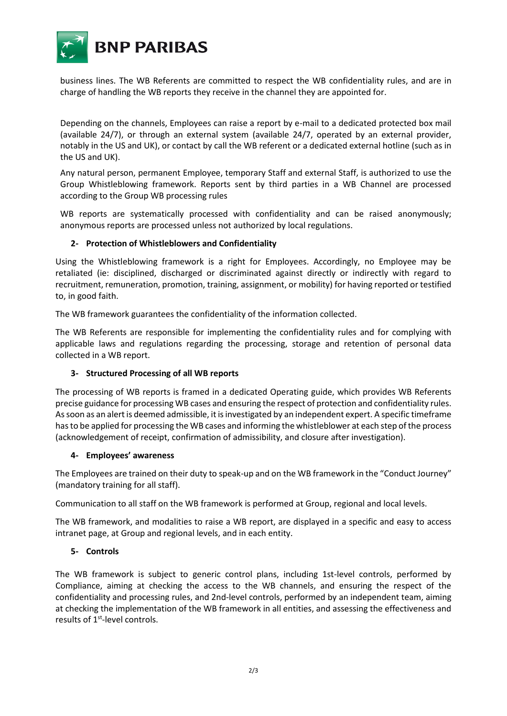

business lines. The WB Referents are committed to respect the WB confidentiality rules, and are in charge of handling the WB reports they receive in the channel they are appointed for.

Depending on the channels, Employees can raise a report by e-mail to a dedicated protected box mail (available 24/7), or through an external system (available 24/7, operated by an external provider, notably in the US and UK), or contact by call the WB referent or a dedicated external hotline (such as in the US and UK).

Any natural person, permanent Employee, temporary Staff and external Staff, is authorized to use the Group Whistleblowing framework. Reports sent by third parties in a WB Channel are processed according to the Group WB processing rules

WB reports are systematically processed with confidentiality and can be raised anonymously; anonymous reports are processed unless not authorized by local regulations.

# **2- Protection of Whistleblowers and Confidentiality**

Using the Whistleblowing framework is a right for Employees. Accordingly, no Employee may be retaliated (ie: disciplined, discharged or discriminated against directly or indirectly with regard to recruitment, remuneration, promotion, training, assignment, or mobility) for having reported or testified to, in good faith.

The WB framework guarantees the confidentiality of the information collected.

The WB Referents are responsible for implementing the confidentiality rules and for complying with applicable laws and regulations regarding the processing, storage and retention of personal data collected in a WB report.

### **3- Structured Processing of all WB reports**

The processing of WB reports is framed in a dedicated Operating guide, which provides WB Referents precise guidance for processing WB cases and ensuring the respect of protection and confidentiality rules. As soon as an alert is deemed admissible, it is investigated by an independent expert. A specific timeframe has to be applied for processing the WB cases and informing the whistleblower at each step of the process (acknowledgement of receipt, confirmation of admissibility, and closure after investigation).

### **4- Employees' awareness**

The Employees are trained on their duty to speak-up and on the WB framework in the "Conduct Journey" (mandatory training for all staff).

Communication to all staff on the WB framework is performed at Group, regional and local levels.

The WB framework, and modalities to raise a WB report, are displayed in a specific and easy to access intranet page, at Group and regional levels, and in each entity.

### **5- Controls**

The WB framework is subject to generic control plans, including 1st-level controls, performed by Compliance, aiming at checking the access to the WB channels, and ensuring the respect of the confidentiality and processing rules, and 2nd-level controls, performed by an independent team, aiming at checking the implementation of the WB framework in all entities, and assessing the effectiveness and results of 1<sup>st</sup>-level controls.